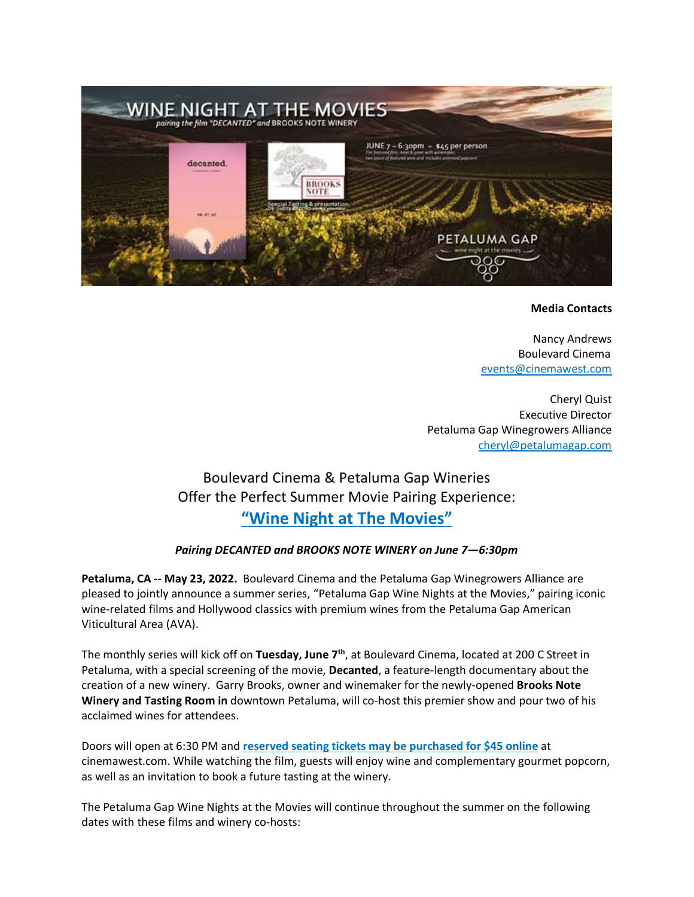

## **Media Contacts**

Nancy Andrews Boulevard Cinema [events@cinemawest.com](mailto:events@cinemawest.com)

Cheryl Quist Executive Director Petaluma Gap Winegrowers Alliance [cheryl@petalumagap.com](mailto:cheryl@petalumagap.com)

# Boulevard Cinema & Petaluma Gap Wineries Offer the Perfect Summer Movie Pairing Experience: **"Wine Night [at The Movies"](https://www.cinemawest.com/movie/WINENIGHTATTHEMOVIES67)**

# *Pairing DECANTED and BROOKS NOTE WINERY on June 7—6:30pm*

**Petaluma, CA -- May 23, 2022.** Boulevard Cinema and the Petaluma Gap Winegrowers Alliance are pleased to jointly announce a summer series, "Petaluma Gap Wine Nights at the Movies," pairing iconic wine-related films and Hollywood classics with premium wines from the Petaluma Gap American Viticultural Area (AVA).

The monthly series will kick off on **Tuesday, June 7th**, at Boulevard Cinema, located at 200 C Street in Petaluma, with a special screening of the movie, **Decanted**, a feature-length documentary about the creation of a new winery. Garry Brooks, owner and winemaker for the newly-opened **Brooks Note Winery and Tasting Room in** downtown Petaluma, will co-host this premier show and pour two of his acclaimed wines for attendees.

Doors will open at 6:30 PM and **[reserved seating tickets may be purchased for \\$45 online](https://www.cinemawest.com/movie/WINENIGHTATTHEMOVIES67)** at cinemawest.com. While watching the film, guests will enjoy wine and complementary gourmet popcorn, as well as an invitation to book a future tasting at the winery.

The Petaluma Gap Wine Nights at the Movies will continue throughout the summer on the following dates with these films and winery co-hosts: